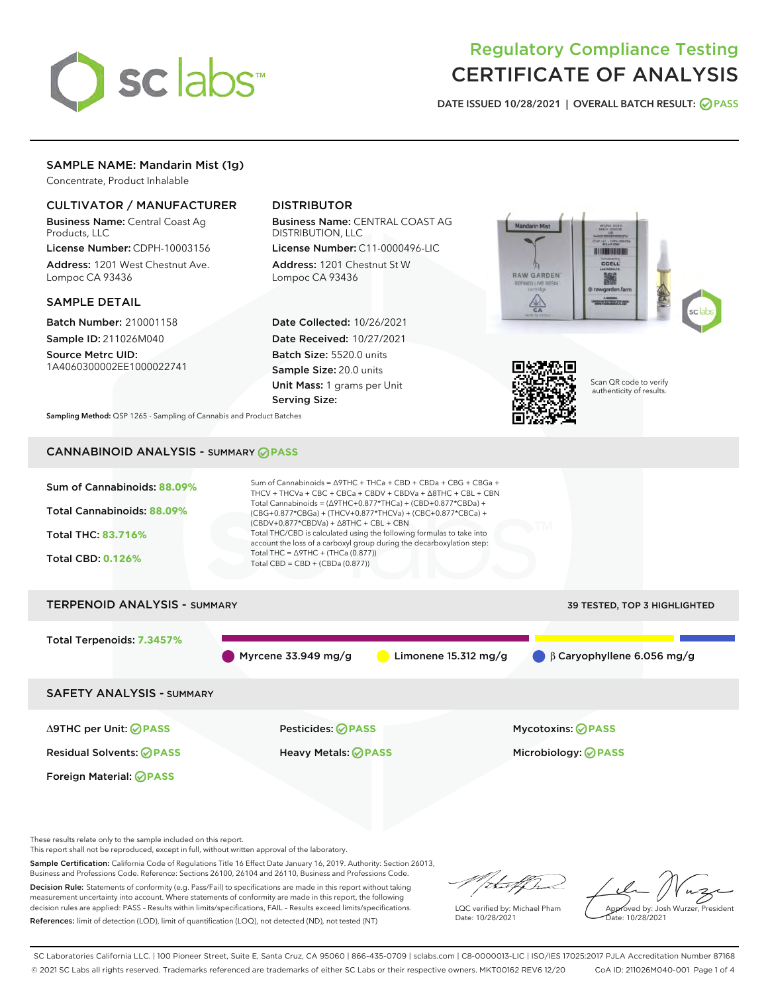

# Regulatory Compliance Testing CERTIFICATE OF ANALYSIS

DATE ISSUED 10/28/2021 | OVERALL BATCH RESULT: @ PASS

# SAMPLE NAME: Mandarin Mist (1g)

Concentrate, Product Inhalable

# CULTIVATOR / MANUFACTURER

Business Name: Central Coast Ag Products, LLC

License Number: CDPH-10003156 Address: 1201 West Chestnut Ave. Lompoc CA 93436

#### SAMPLE DETAIL

Batch Number: 210001158 Sample ID: 211026M040 Source Metrc UID:

1A4060300002EE1000022741

# DISTRIBUTOR

Business Name: CENTRAL COAST AG DISTRIBUTION, LLC

License Number: C11-0000496-LIC Address: 1201 Chestnut St W Lompoc CA 93436

Date Collected: 10/26/2021 Date Received: 10/27/2021 Batch Size: 5520.0 units Sample Size: 20.0 units Unit Mass: 1 grams per Unit Serving Size:





Scan QR code to verify authenticity of results.

Sampling Method: QSP 1265 - Sampling of Cannabis and Product Batches

# CANNABINOID ANALYSIS - SUMMARY **PASS**



These results relate only to the sample included on this report.

This report shall not be reproduced, except in full, without written approval of the laboratory.

Sample Certification: California Code of Regulations Title 16 Effect Date January 16, 2019. Authority: Section 26013, Business and Professions Code. Reference: Sections 26100, 26104 and 26110, Business and Professions Code.

Decision Rule: Statements of conformity (e.g. Pass/Fail) to specifications are made in this report without taking measurement uncertainty into account. Where statements of conformity are made in this report, the following decision rules are applied: PASS – Results within limits/specifications, FAIL – Results exceed limits/specifications. References: limit of detection (LOD), limit of quantification (LOQ), not detected (ND), not tested (NT)

that f h

LQC verified by: Michael Pham Date: 10/28/2021

Approved by: Josh Wurzer, President Date: 10/28/2021

SC Laboratories California LLC. | 100 Pioneer Street, Suite E, Santa Cruz, CA 95060 | 866-435-0709 | sclabs.com | C8-0000013-LIC | ISO/IES 17025:2017 PJLA Accreditation Number 87168 © 2021 SC Labs all rights reserved. Trademarks referenced are trademarks of either SC Labs or their respective owners. MKT00162 REV6 12/20 CoA ID: 211026M040-001 Page 1 of 4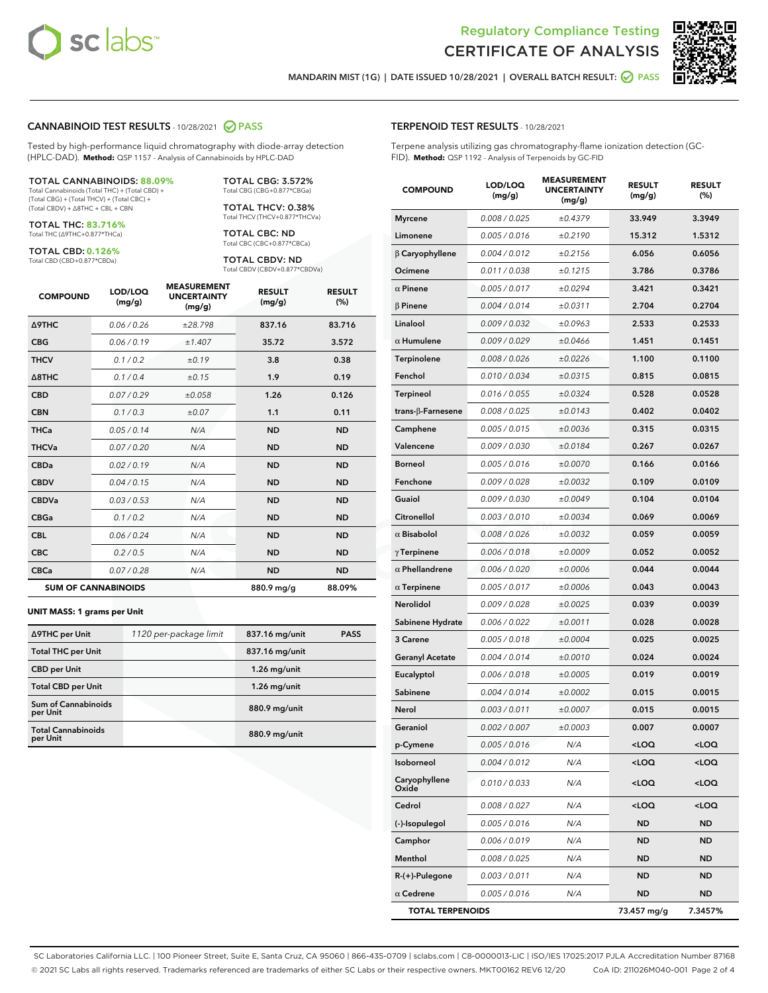



MANDARIN MIST (1G) | DATE ISSUED 10/28/2021 | OVERALL BATCH RESULT: 2 PASS

#### CANNABINOID TEST RESULTS - 10/28/2021 2 PASS

Tested by high-performance liquid chromatography with diode-array detection (HPLC-DAD). **Method:** QSP 1157 - Analysis of Cannabinoids by HPLC-DAD

#### TOTAL CANNABINOIDS: **88.09%**

Total Cannabinoids (Total THC) + (Total CBD) + (Total CBG) + (Total THCV) + (Total CBC) + (Total CBDV) + ∆8THC + CBL + CBN

TOTAL THC: **83.716%** Total THC (∆9THC+0.877\*THCa)

TOTAL CBD: **0.126%**

Total CBD (CBD+0.877\*CBDa)

TOTAL CBG: 3.572% Total CBG (CBG+0.877\*CBGa)

TOTAL THCV: 0.38% Total THCV (THCV+0.877\*THCVa)

TOTAL CBC: ND Total CBC (CBC+0.877\*CBCa)

TOTAL CBDV: ND Total CBDV (CBDV+0.877\*CBDVa)

| <b>COMPOUND</b>  | LOD/LOQ<br>(mg/g)          | <b>MEASUREMENT</b><br><b>UNCERTAINTY</b><br>(mg/g) | <b>RESULT</b><br>(mg/g) | <b>RESULT</b><br>(%) |
|------------------|----------------------------|----------------------------------------------------|-------------------------|----------------------|
| <b>A9THC</b>     | 0.06 / 0.26                | ±28.798                                            | 837.16                  | 83.716               |
| <b>CBG</b>       | 0.06/0.19                  | ±1.407                                             | 35.72                   | 3.572                |
| <b>THCV</b>      | 0.1/0.2                    | ±0.19                                              | 3.8                     | 0.38                 |
| $\triangle$ 8THC | 0.1/0.4                    | ±0.15                                              | 1.9                     | 0.19                 |
| <b>CBD</b>       | 0.07/0.29                  | ±0.058                                             | 1.26                    | 0.126                |
| <b>CBN</b>       | 0.1/0.3                    | ±0.07                                              | 1.1                     | 0.11                 |
| <b>THCa</b>      | 0.05/0.14                  | N/A                                                | <b>ND</b>               | <b>ND</b>            |
| <b>THCVa</b>     | 0.07/0.20                  | N/A                                                | <b>ND</b>               | <b>ND</b>            |
| <b>CBDa</b>      | 0.02/0.19                  | N/A                                                | <b>ND</b>               | <b>ND</b>            |
| <b>CBDV</b>      | 0.04 / 0.15                | N/A                                                | <b>ND</b>               | <b>ND</b>            |
| <b>CBDVa</b>     | 0.03/0.53                  | N/A                                                | <b>ND</b>               | <b>ND</b>            |
| <b>CBGa</b>      | 0.1 / 0.2                  | N/A                                                | <b>ND</b>               | <b>ND</b>            |
| <b>CBL</b>       | 0.06 / 0.24                | N/A                                                | <b>ND</b>               | <b>ND</b>            |
| <b>CBC</b>       | 0.2 / 0.5                  | N/A                                                | <b>ND</b>               | <b>ND</b>            |
| <b>CBCa</b>      | 0.07/0.28                  | N/A                                                | <b>ND</b>               | <b>ND</b>            |
|                  | <b>SUM OF CANNABINOIDS</b> |                                                    | 880.9 mg/g              | 88.09%               |

#### **UNIT MASS: 1 grams per Unit**

| ∆9THC per Unit                         | 1120 per-package limit | 837.16 mg/unit | <b>PASS</b> |
|----------------------------------------|------------------------|----------------|-------------|
| <b>Total THC per Unit</b>              |                        | 837.16 mg/unit |             |
| <b>CBD per Unit</b>                    |                        | $1.26$ mg/unit |             |
| <b>Total CBD per Unit</b>              |                        | $1.26$ mg/unit |             |
| <b>Sum of Cannabinoids</b><br>per Unit |                        | 880.9 mg/unit  |             |
| <b>Total Cannabinoids</b><br>per Unit  |                        | 880.9 mg/unit  |             |

# COMPOUND LOD/LOQ (mg/g) MEASUREMENT UNCERTAINTY (mg/g) RESULT (mg/g) RESULT (%) Myrcene 0.008 / 0.025  $\pm 0.4379$  33.949 3.3949 Limonene  $0.005 / 0.016$   $\pm 0.2190$  15.312 1.5312 β Caryophyllene 0.004 / 0.012 ± 0.2156 6.056 0.6056 Ocimene 0.011 / 0.038 ± 0.1215 3.786 0.3786  $\alpha$  Pinene  $0.005 / 0.017$   $\pm 0.0294$  3.421 0.3421  $β$  Pinene  $0.004 / 0.014$   $± 0.0311$   $2.704$  0.2704 Linalool  $0.009 / 0.032$   $\pm 0.0963$  2.533 0.2533  $α$  Humulene  $0.009 / 0.029$   $± 0.0466$  1.451 0.1451 Terpinolene  $0.008 / 0.026$   $\pm 0.0226$  1.100 0.1100 Fenchol  $0.010 / 0.034$   $\pm 0.0315$  0.815 0.0815 Terpineol 0.016 / 0.055  $\pm 0.0324$  0.528 0.0528 trans-β-Farnesene 0.008 / 0.025 ± 0.0143 0.402 0.0402 Camphene 0.005/0.015  $\pm 0.0036$  0.315 0.0315 Valencene 0.009 / 0.030 ± 0.0184 0.267 0.0267 Borneol 0.005/0.016 ±0.0070 0.166 0.0166 Fenchone 0.009 / 0.028 ± 0.0032 0.109 0.0109 Guaiol 0.009/0.030  $\pm 0.0049$  0.104 0.0104  $Citronellol$  0.003 / 0.010  $\pm 0.0034$  0.069 0.0069  $\alpha$  Bisabolol  $0.008 / 0.026$   $\pm 0.0032$  0.059 0.0059  $γ$ Terpinene  $0.006 / 0.018$   $± 0.0009$  0.052 0.0052  $α$  Phellandrene  $0.006 / 0.020$   $± 0.0006$  0.044 0.0044  $\alpha$  Terpinene  $0.005 / 0.017$   $\pm 0.0006$  0.043 0.0043 Nerolidol 0.009 / 0.028 ± 0.0025 0.039 0.0039 Sabinene Hydrate  $0.006 / 0.022$   $\pm 0.0011$  0.028 0.0028 3 Carene 0.005 / 0.018 ± 0.0004 0.025 0.0025 Geranyl Acetate  $0.004 / 0.014$   $\pm 0.0010$  0.024 0.0024 Eucalyptol 0.006/0.018  $\pm 0.0005$  0.019 0.0019 Sabinene 0.004/0.014  $\pm 0.0002$  0.015 0.0015 Nerol 0.003 / 0.011 ± 0.0007 0.015 0.0015 Geraniol 0.002 / 0.007  $\pm 0.0003$  0.007 0.0007 p-Cymene 0.005 / 0.016 N/A <LOQ <LOQ Isoborneol 0.004 / 0.012 N/A <LOQ <LOQ Caryophyllene Oxide 0.010 / 0.033 N/A <LOQ <LOQ Cedrol 0.008 / 0.027 N/A <LOQ <LOQ

(-)-Isopulegol 0.005 / 0.016 N/A ND ND **Camphor 0.006/0.019 N/A ND ND** Menthol 0.008 / 0.025 N/A ND ND R-(+)-Pulegone 0.003 / 0.011 N/A ND ND  $\alpha$  Cedrene  $0.005 / 0.016$  N/A ND ND TOTAL TERPENOIDS 73.457 mg/g 7.3457%

SC Laboratories California LLC. | 100 Pioneer Street, Suite E, Santa Cruz, CA 95060 | 866-435-0709 | sclabs.com | C8-0000013-LIC | ISO/IES 17025:2017 PJLA Accreditation Number 87168 © 2021 SC Labs all rights reserved. Trademarks referenced are trademarks of either SC Labs or their respective owners. MKT00162 REV6 12/20 CoA ID: 211026M040-001 Page 2 of 4

## TERPENOID TEST RESULTS - 10/28/2021

Terpene analysis utilizing gas chromatography-flame ionization detection (GC-FID). **Method:** QSP 1192 - Analysis of Terpenoids by GC-FID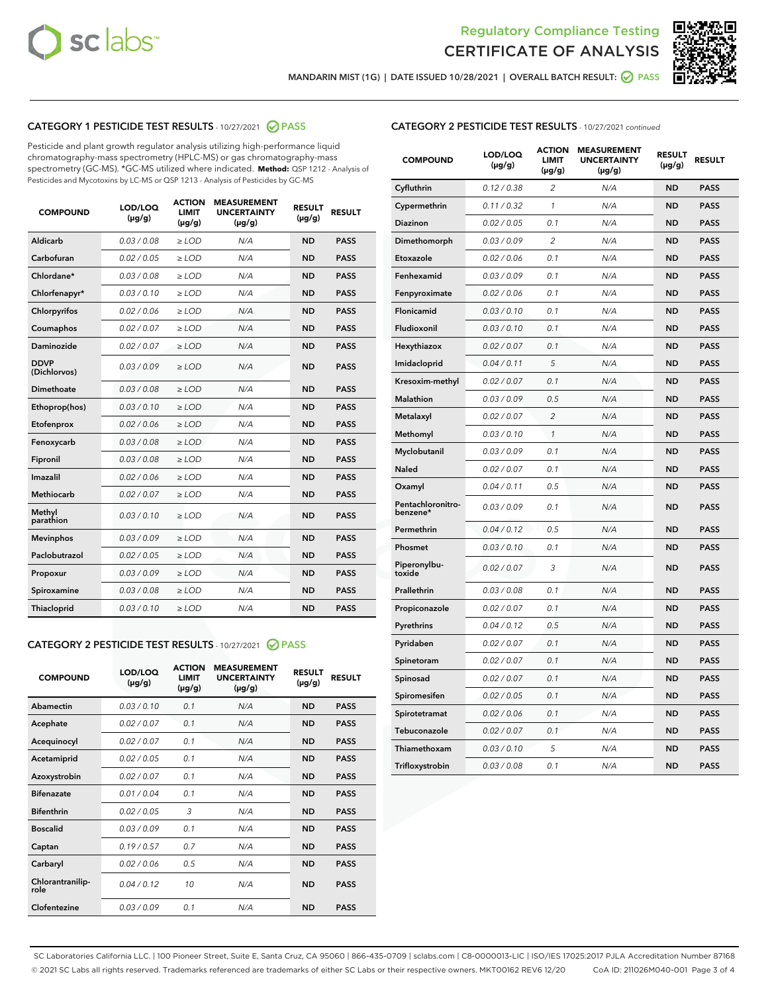



MANDARIN MIST (1G) | DATE ISSUED 10/28/2021 | OVERALL BATCH RESULT: 2 PASS

# CATEGORY 1 PESTICIDE TEST RESULTS - 10/27/2021 2 PASS

Pesticide and plant growth regulator analysis utilizing high-performance liquid chromatography-mass spectrometry (HPLC-MS) or gas chromatography-mass spectrometry (GC-MS). \*GC-MS utilized where indicated. **Method:** QSP 1212 - Analysis of Pesticides and Mycotoxins by LC-MS or QSP 1213 - Analysis of Pesticides by GC-MS

| <b>COMPOUND</b>             | LOD/LOQ<br>$(\mu g/g)$ | <b>ACTION</b><br><b>LIMIT</b><br>$(\mu g/g)$ | <b>MEASUREMENT</b><br><b>UNCERTAINTY</b><br>$(\mu g/g)$ | <b>RESULT</b><br>$(\mu g/g)$ | <b>RESULT</b> |
|-----------------------------|------------------------|----------------------------------------------|---------------------------------------------------------|------------------------------|---------------|
| Aldicarb                    | 0.03 / 0.08            | $\ge$ LOD                                    | N/A                                                     | <b>ND</b>                    | <b>PASS</b>   |
| Carbofuran                  | 0.02/0.05              | $>$ LOD                                      | N/A                                                     | <b>ND</b>                    | <b>PASS</b>   |
| Chlordane*                  | 0.03 / 0.08            | $\ge$ LOD                                    | N/A                                                     | <b>ND</b>                    | <b>PASS</b>   |
| Chlorfenapyr*               | 0.03/0.10              | $\ge$ LOD                                    | N/A                                                     | <b>ND</b>                    | <b>PASS</b>   |
| Chlorpyrifos                | 0.02 / 0.06            | $\ge$ LOD                                    | N/A                                                     | <b>ND</b>                    | <b>PASS</b>   |
| Coumaphos                   | 0.02 / 0.07            | $\ge$ LOD                                    | N/A                                                     | <b>ND</b>                    | <b>PASS</b>   |
| Daminozide                  | 0.02/0.07              | $>$ LOD                                      | N/A                                                     | <b>ND</b>                    | <b>PASS</b>   |
| <b>DDVP</b><br>(Dichlorvos) | 0.03/0.09              | $\ge$ LOD                                    | N/A                                                     | <b>ND</b>                    | <b>PASS</b>   |
| Dimethoate                  | 0.03 / 0.08            | $\ge$ LOD                                    | N/A                                                     | <b>ND</b>                    | <b>PASS</b>   |
| Ethoprop(hos)               | 0.03/0.10              | $>$ LOD                                      | N/A                                                     | <b>ND</b>                    | <b>PASS</b>   |
| Etofenprox                  | 0.02 / 0.06            | $\ge$ LOD                                    | N/A                                                     | <b>ND</b>                    | <b>PASS</b>   |
| Fenoxycarb                  | 0.03 / 0.08            | $\ge$ LOD                                    | N/A                                                     | <b>ND</b>                    | <b>PASS</b>   |
| Fipronil                    | 0.03/0.08              | $\ge$ LOD                                    | N/A                                                     | <b>ND</b>                    | <b>PASS</b>   |
| Imazalil                    | 0.02 / 0.06            | $\ge$ LOD                                    | N/A                                                     | <b>ND</b>                    | <b>PASS</b>   |
| <b>Methiocarb</b>           | 0.02 / 0.07            | $\ge$ LOD                                    | N/A                                                     | <b>ND</b>                    | <b>PASS</b>   |
| Methyl<br>parathion         | 0.03/0.10              | $\ge$ LOD                                    | N/A                                                     | <b>ND</b>                    | <b>PASS</b>   |
| <b>Mevinphos</b>            | 0.03/0.09              | $>$ LOD                                      | N/A                                                     | <b>ND</b>                    | <b>PASS</b>   |
| Paclobutrazol               | 0.02 / 0.05            | $\ge$ LOD                                    | N/A                                                     | <b>ND</b>                    | <b>PASS</b>   |
| Propoxur                    | 0.03/0.09              | $\ge$ LOD                                    | N/A                                                     | <b>ND</b>                    | <b>PASS</b>   |
| Spiroxamine                 | 0.03 / 0.08            | $\ge$ LOD                                    | N/A                                                     | <b>ND</b>                    | <b>PASS</b>   |
| Thiacloprid                 | 0.03/0.10              | $\ge$ LOD                                    | N/A                                                     | <b>ND</b>                    | <b>PASS</b>   |

#### CATEGORY 2 PESTICIDE TEST RESULTS - 10/27/2021 @ PASS

| <b>COMPOUND</b>          | LOD/LOO<br>$(\mu g/g)$ | <b>ACTION</b><br>LIMIT<br>$(\mu g/g)$ | <b>MEASUREMENT</b><br><b>UNCERTAINTY</b><br>$(\mu g/g)$ | <b>RESULT</b><br>$(\mu g/g)$ | <b>RESULT</b> |  |
|--------------------------|------------------------|---------------------------------------|---------------------------------------------------------|------------------------------|---------------|--|
| Abamectin                | 0.03/0.10              | 0.1                                   | N/A                                                     | <b>ND</b>                    | <b>PASS</b>   |  |
| Acephate                 | 0.02/0.07              | 0.1                                   | N/A                                                     | <b>ND</b>                    | <b>PASS</b>   |  |
| Acequinocyl              | 0.02/0.07              | 0.1                                   | N/A                                                     | <b>ND</b>                    | <b>PASS</b>   |  |
| Acetamiprid              | 0.02 / 0.05            | 0.1                                   | N/A                                                     | <b>ND</b>                    | <b>PASS</b>   |  |
| Azoxystrobin             | 0.02/0.07              | 0.1                                   | N/A                                                     | <b>ND</b>                    | <b>PASS</b>   |  |
| <b>Bifenazate</b>        | 0.01 / 0.04            | 0.1                                   | N/A                                                     | <b>ND</b>                    | <b>PASS</b>   |  |
| <b>Bifenthrin</b>        | 0.02 / 0.05            | 3                                     | N/A                                                     | <b>ND</b>                    | <b>PASS</b>   |  |
| <b>Boscalid</b>          | 0.03/0.09              | 0.1                                   | N/A                                                     | <b>ND</b>                    | <b>PASS</b>   |  |
| Captan                   | 0.19/0.57              | 0.7                                   | N/A                                                     | <b>ND</b>                    | <b>PASS</b>   |  |
| Carbaryl                 | 0.02/0.06              | 0.5                                   | N/A                                                     | <b>ND</b>                    | <b>PASS</b>   |  |
| Chlorantranilip-<br>role | 0.04/0.12              | 10                                    | N/A                                                     | <b>ND</b>                    | <b>PASS</b>   |  |
| Clofentezine             | 0.03/0.09              | 0.1                                   | N/A                                                     | <b>ND</b>                    | <b>PASS</b>   |  |

| <b>COMPOUND</b>               | LOD/LOQ<br>(µg/g) | <b>ACTION</b><br>LIMIT<br>(µg/g) | <b>MEASUREMENT</b><br><b>UNCERTAINTY</b><br>(µg/g) | <b>RESULT</b><br>(µg/g) | <b>RESULT</b> |
|-------------------------------|-------------------|----------------------------------|----------------------------------------------------|-------------------------|---------------|
| Cyfluthrin                    | 0.12 / 0.38       | $\overline{c}$                   | N/A                                                | <b>ND</b>               | <b>PASS</b>   |
| Cypermethrin                  | 0.11/0.32         | 1                                | N/A                                                | <b>ND</b>               | <b>PASS</b>   |
| <b>Diazinon</b>               | 0.02 / 0.05       | 0.1                              | N/A                                                | <b>ND</b>               | <b>PASS</b>   |
| Dimethomorph                  | 0.03 / 0.09       | 2                                | N/A                                                | <b>ND</b>               | <b>PASS</b>   |
| Etoxazole                     | 0.02 / 0.06       | 0.1                              | N/A                                                | <b>ND</b>               | <b>PASS</b>   |
| Fenhexamid                    | 0.03 / 0.09       | 0.1                              | N/A                                                | <b>ND</b>               | <b>PASS</b>   |
| Fenpyroximate                 | 0.02 / 0.06       | 0.1                              | N/A                                                | <b>ND</b>               | <b>PASS</b>   |
| Flonicamid                    | 0.03 / 0.10       | 0.1                              | N/A                                                | <b>ND</b>               | <b>PASS</b>   |
| Fludioxonil                   | 0.03/0.10         | 0.1                              | N/A                                                | <b>ND</b>               | <b>PASS</b>   |
| Hexythiazox                   | 0.02 / 0.07       | 0.1                              | N/A                                                | <b>ND</b>               | <b>PASS</b>   |
| Imidacloprid                  | 0.04 / 0.11       | 5                                | N/A                                                | <b>ND</b>               | <b>PASS</b>   |
| Kresoxim-methyl               | 0.02 / 0.07       | 0.1                              | N/A                                                | <b>ND</b>               | <b>PASS</b>   |
| Malathion                     | 0.03 / 0.09       | 0.5                              | N/A                                                | <b>ND</b>               | <b>PASS</b>   |
| Metalaxyl                     | 0.02 / 0.07       | $\overline{c}$                   | N/A                                                | <b>ND</b>               | <b>PASS</b>   |
| Methomyl                      | 0.03 / 0.10       | 1                                | N/A                                                | <b>ND</b>               | <b>PASS</b>   |
| Myclobutanil                  | 0.03/0.09         | 0.1                              | N/A                                                | <b>ND</b>               | <b>PASS</b>   |
| Naled                         | 0.02 / 0.07       | 0.1                              | N/A                                                | <b>ND</b>               | <b>PASS</b>   |
| Oxamyl                        | 0.04 / 0.11       | 0.5                              | N/A                                                | <b>ND</b>               | <b>PASS</b>   |
| Pentachloronitro-<br>benzene* | 0.03/0.09         | 0.1                              | N/A                                                | <b>ND</b>               | <b>PASS</b>   |
| Permethrin                    | 0.04 / 0.12       | 0.5                              | N/A                                                | <b>ND</b>               | <b>PASS</b>   |
| Phosmet                       | 0.03 / 0.10       | 0.1                              | N/A                                                | <b>ND</b>               | <b>PASS</b>   |
| Piperonylbu-<br>toxide        | 0.02 / 0.07       | 3                                | N/A                                                | <b>ND</b>               | <b>PASS</b>   |
| Prallethrin                   | 0.03 / 0.08       | 0.1                              | N/A                                                | <b>ND</b>               | <b>PASS</b>   |
| Propiconazole                 | 0.02 / 0.07       | 0.1                              | N/A                                                | <b>ND</b>               | <b>PASS</b>   |
| Pyrethrins                    | 0.04 / 0.12       | 0.5                              | N/A                                                | <b>ND</b>               | <b>PASS</b>   |
| Pyridaben                     | 0.02 / 0.07       | 0.1                              | N/A                                                | <b>ND</b>               | <b>PASS</b>   |
| Spinetoram                    | 0.02 / 0.07       | 0.1                              | N/A                                                | <b>ND</b>               | <b>PASS</b>   |
| Spinosad                      | 0.02 / 0.07       | 0.1                              | N/A                                                | <b>ND</b>               | <b>PASS</b>   |
| Spiromesifen                  | 0.02 / 0.05       | 0.1                              | N/A                                                | <b>ND</b>               | <b>PASS</b>   |
| Spirotetramat                 | 0.02 / 0.06       | 0.1                              | N/A                                                | <b>ND</b>               | <b>PASS</b>   |
| Tebuconazole                  | 0.02 / 0.07       | 0.1                              | N/A                                                | <b>ND</b>               | <b>PASS</b>   |
| Thiamethoxam                  | 0.03 / 0.10       | 5                                | N/A                                                | <b>ND</b>               | <b>PASS</b>   |
| Trifloxystrobin               | 0.03 / 0.08       | 0.1                              | N/A                                                | <b>ND</b>               | <b>PASS</b>   |

SC Laboratories California LLC. | 100 Pioneer Street, Suite E, Santa Cruz, CA 95060 | 866-435-0709 | sclabs.com | C8-0000013-LIC | ISO/IES 17025:2017 PJLA Accreditation Number 87168 © 2021 SC Labs all rights reserved. Trademarks referenced are trademarks of either SC Labs or their respective owners. MKT00162 REV6 12/20 CoA ID: 211026M040-001 Page 3 of 4